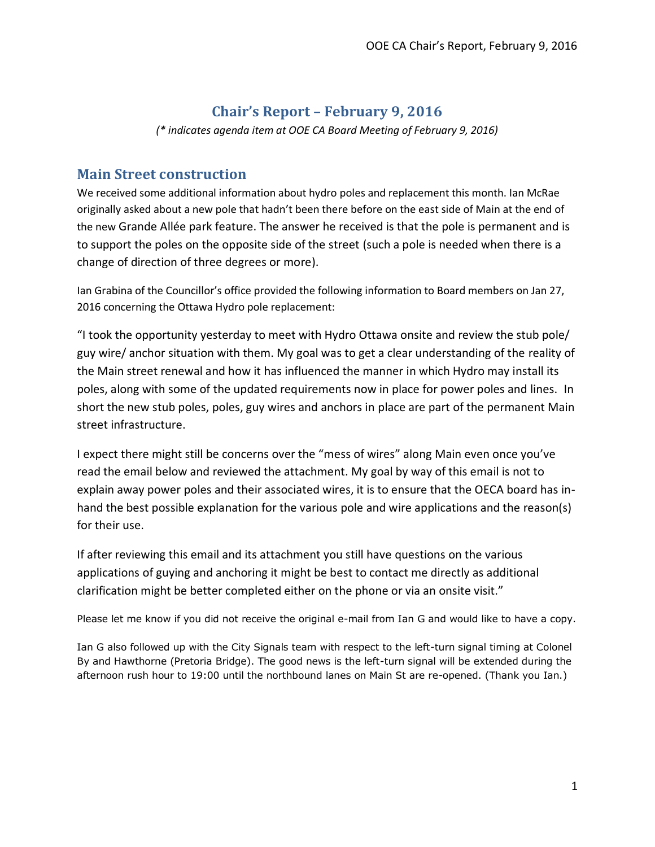### **Chair's Report – February 9, 2016**

*(\* indicates agenda item at OOE CA Board Meeting of February 9, 2016)*

#### **Main Street construction**

We received some additional information about hydro poles and replacement this month. Ian McRae originally asked about a new pole that hadn't been there before on the east side of Main at the end of the new Grande Allée park feature. The answer he received is that the pole is permanent and is to support the poles on the opposite side of the street (such a pole is needed when there is a change of direction of three degrees or more).

Ian Grabina of the Councillor's office provided the following information to Board members on Jan 27, 2016 concerning the Ottawa Hydro pole replacement:

"I took the opportunity yesterday to meet with Hydro Ottawa onsite and review the stub pole/ guy wire/ anchor situation with them. My goal was to get a clear understanding of the reality of the Main street renewal and how it has influenced the manner in which Hydro may install its poles, along with some of the updated requirements now in place for power poles and lines. In short the new stub poles, poles, guy wires and anchors in place are part of the permanent Main street infrastructure.

I expect there might still be concerns over the "mess of wires" along Main even once you've read the email below and reviewed the attachment. My goal by way of this email is not to explain away power poles and their associated wires, it is to ensure that the OECA board has inhand the best possible explanation for the various pole and wire applications and the reason(s) for their use.

If after reviewing this email and its attachment you still have questions on the various applications of guying and anchoring it might be best to contact me directly as additional clarification might be better completed either on the phone or via an onsite visit."

Please let me know if you did not receive the original e-mail from Ian G and would like to have a copy.

Ian G also followed up with the City Signals team with respect to the left-turn signal timing at Colonel By and Hawthorne (Pretoria Bridge). The good news is the left-turn signal will be extended during the afternoon rush hour to 19:00 until the northbound lanes on Main St are re-opened. (Thank you Ian.)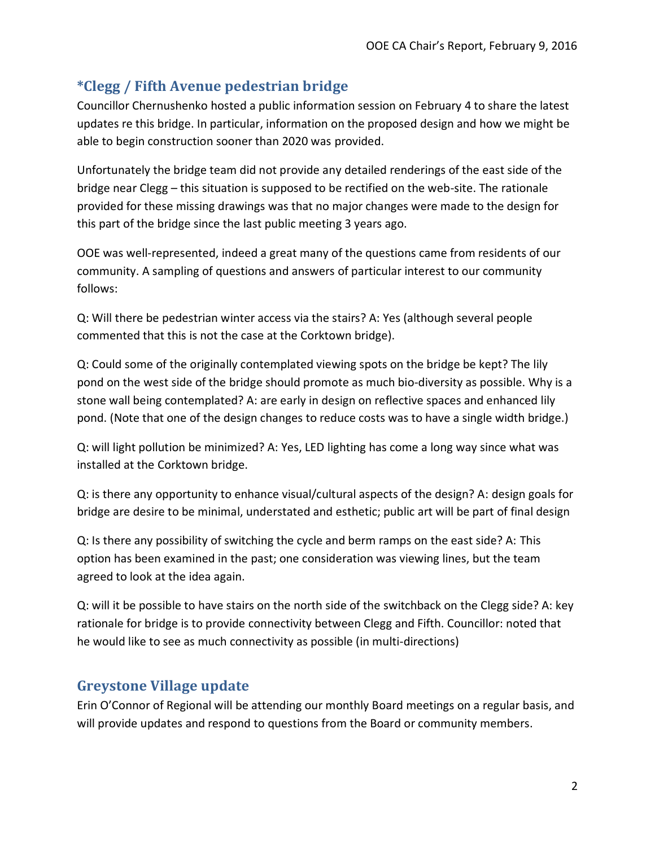## **\*Clegg / Fifth Avenue pedestrian bridge**

Councillor Chernushenko hosted a public information session on February 4 to share the latest updates re this bridge. In particular, information on the proposed design and how we might be able to begin construction sooner than 2020 was provided.

Unfortunately the bridge team did not provide any detailed renderings of the east side of the bridge near Clegg – this situation is supposed to be rectified on the web-site. The rationale provided for these missing drawings was that no major changes were made to the design for this part of the bridge since the last public meeting 3 years ago.

OOE was well-represented, indeed a great many of the questions came from residents of our community. A sampling of questions and answers of particular interest to our community follows:

Q: Will there be pedestrian winter access via the stairs? A: Yes (although several people commented that this is not the case at the Corktown bridge).

Q: Could some of the originally contemplated viewing spots on the bridge be kept? The lily pond on the west side of the bridge should promote as much bio-diversity as possible. Why is a stone wall being contemplated? A: are early in design on reflective spaces and enhanced lily pond. (Note that one of the design changes to reduce costs was to have a single width bridge.)

Q: will light pollution be minimized? A: Yes, LED lighting has come a long way since what was installed at the Corktown bridge.

Q: is there any opportunity to enhance visual/cultural aspects of the design? A: design goals for bridge are desire to be minimal, understated and esthetic; public art will be part of final design

Q: Is there any possibility of switching the cycle and berm ramps on the east side? A: This option has been examined in the past; one consideration was viewing lines, but the team agreed to look at the idea again.

Q: will it be possible to have stairs on the north side of the switchback on the Clegg side? A: key rationale for bridge is to provide connectivity between Clegg and Fifth. Councillor: noted that he would like to see as much connectivity as possible (in multi-directions)

## **Greystone Village update**

Erin O'Connor of Regional will be attending our monthly Board meetings on a regular basis, and will provide updates and respond to questions from the Board or community members.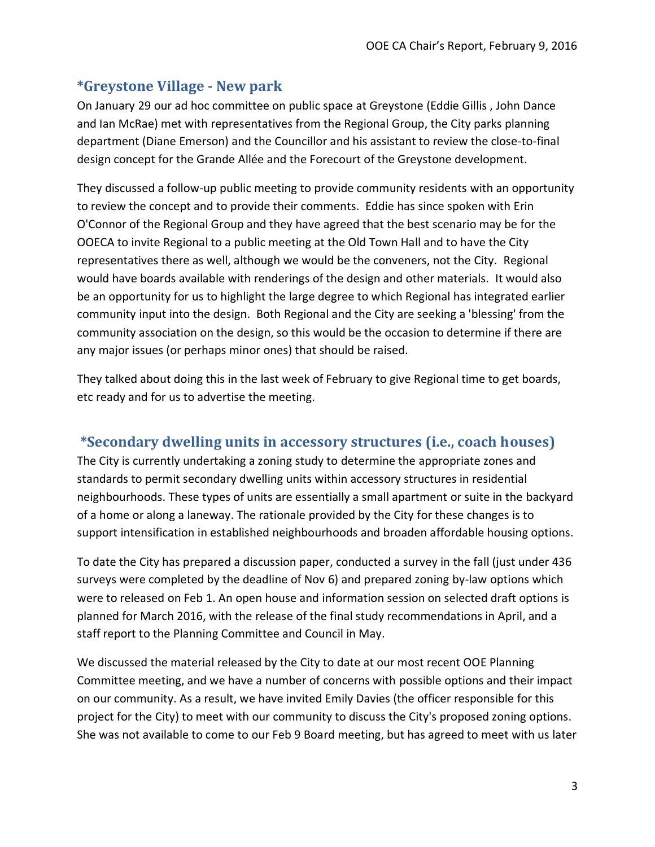### **\*Greystone Village - New park**

On January 29 our ad hoc committee on public space at Greystone (Eddie Gillis , John Dance and Ian McRae) met with representatives from the Regional Group, the City parks planning department (Diane Emerson) and the Councillor and his assistant to review the close-to-final design concept for the Grande Allée and the Forecourt of the Greystone development.

They discussed a follow-up public meeting to provide community residents with an opportunity to review the concept and to provide their comments. Eddie has since spoken with Erin O'Connor of the Regional Group and they have agreed that the best scenario may be for the OOECA to invite Regional to a public meeting at the Old Town Hall and to have the City representatives there as well, although we would be the conveners, not the City. Regional would have boards available with renderings of the design and other materials. It would also be an opportunity for us to highlight the large degree to which Regional has integrated earlier community input into the design. Both Regional and the City are seeking a 'blessing' from the community association on the design, so this would be the occasion to determine if there are any major issues (or perhaps minor ones) that should be raised.

They talked about doing this in the last week of February to give Regional time to get boards, etc ready and for us to advertise the meeting.

#### **\*Secondary dwelling units in accessory structures (i.e., coach houses)**

The City is currently undertaking a zoning study to determine the appropriate zones and standards to permit secondary dwelling units within accessory structures in residential neighbourhoods. These types of units are essentially a small apartment or suite in the backyard of a home or along a laneway. The rationale provided by the City for these changes is to support intensification in established neighbourhoods and broaden affordable housing options.

To date the City has prepared a discussion paper, conducted a survey in the fall (just under 436 surveys were completed by the deadline of Nov 6) and prepared zoning by-law options which were to released on Feb 1. An open house and information session on selected draft options is planned for March 2016, with the release of the final study recommendations in April, and a staff report to the Planning Committee and Council in May.

We discussed the material released by the City to date at our most recent OOE Planning Committee meeting, and we have a number of concerns with possible options and their impact on our community. As a result, we have invited Emily Davies (the officer responsible for this project for the City) to meet with our community to discuss the City's proposed zoning options. She was not available to come to our Feb 9 Board meeting, but has agreed to meet with us later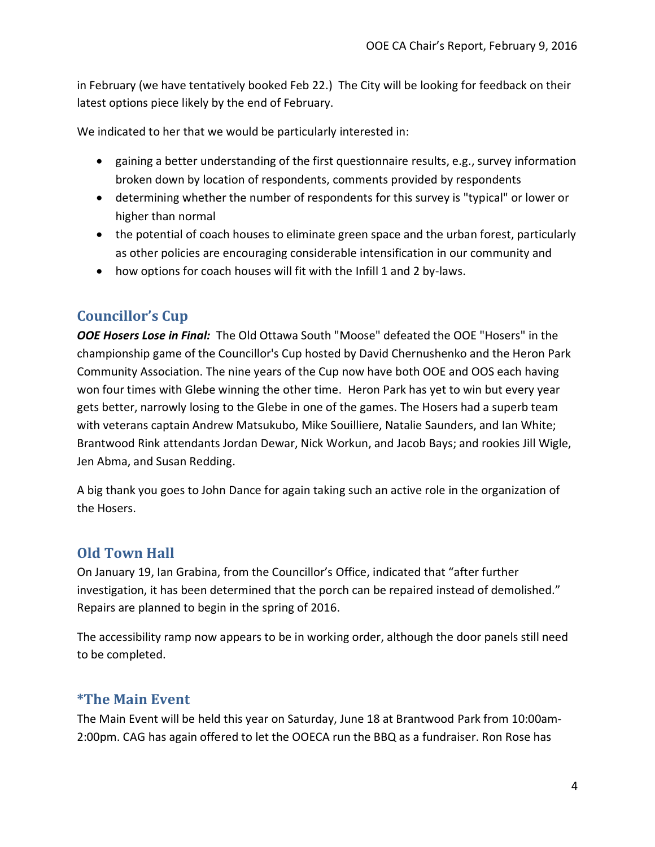in February (we have tentatively booked Feb 22.) The City will be looking for feedback on their latest options piece likely by the end of February.

We indicated to her that we would be particularly interested in:

- gaining a better understanding of the first questionnaire results, e.g., survey information broken down by location of respondents, comments provided by respondents
- determining whether the number of respondents for this survey is "typical" or lower or higher than normal
- the potential of coach houses to eliminate green space and the urban forest, particularly as other policies are encouraging considerable intensification in our community and
- how options for coach houses will fit with the Infill 1 and 2 by-laws.

### **Councillor's Cup**

*OOE Hosers Lose in Final:* The Old Ottawa South "Moose" defeated the OOE "Hosers" in the championship game of the Councillor's Cup hosted by David Chernushenko and the Heron Park Community Association. The nine years of the Cup now have both OOE and OOS each having won four times with Glebe winning the other time. Heron Park has yet to win but every year gets better, narrowly losing to the Glebe in one of the games. The Hosers had a superb team with veterans captain Andrew Matsukubo, Mike Souilliere, Natalie Saunders, and Ian White; Brantwood Rink attendants Jordan Dewar, Nick Workun, and Jacob Bays; and rookies Jill Wigle, Jen Abma, and Susan Redding.

A big thank you goes to John Dance for again taking such an active role in the organization of the Hosers.

#### **Old Town Hall**

On January 19, Ian Grabina, from the Councillor's Office, indicated that "after further investigation, it has been determined that the porch can be repaired instead of demolished." Repairs are planned to begin in the spring of 2016.

The accessibility ramp now appears to be in working order, although the door panels still need to be completed.

#### **\*The Main Event**

The Main Event will be held this year on Saturday, June 18 at Brantwood Park from 10:00am-2:00pm. CAG has again offered to let the OOECA run the BBQ as a fundraiser. Ron Rose has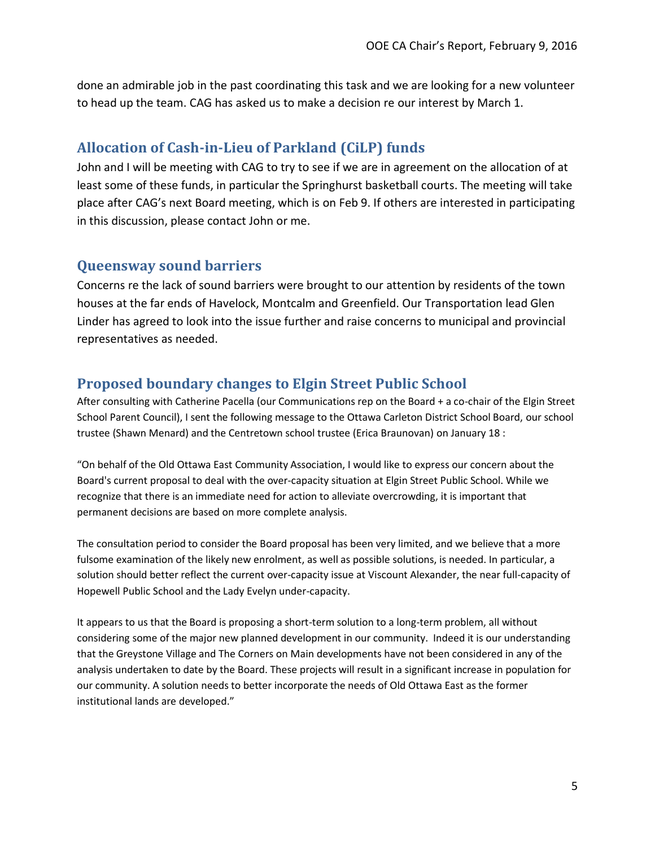done an admirable job in the past coordinating this task and we are looking for a new volunteer to head up the team. CAG has asked us to make a decision re our interest by March 1.

#### **Allocation of Cash-in-Lieu of Parkland (CiLP) funds**

John and I will be meeting with CAG to try to see if we are in agreement on the allocation of at least some of these funds, in particular the Springhurst basketball courts. The meeting will take place after CAG's next Board meeting, which is on Feb 9. If others are interested in participating in this discussion, please contact John or me.

#### **Queensway sound barriers**

Concerns re the lack of sound barriers were brought to our attention by residents of the town houses at the far ends of Havelock, Montcalm and Greenfield. Our Transportation lead Glen Linder has agreed to look into the issue further and raise concerns to municipal and provincial representatives as needed.

#### **Proposed boundary changes to Elgin Street Public School**

After consulting with Catherine Pacella (our Communications rep on the Board + a co-chair of the Elgin Street School Parent Council), I sent the following message to the Ottawa Carleton District School Board, our school trustee (Shawn Menard) and the Centretown school trustee (Erica Braunovan) on January 18 :

"On behalf of the Old Ottawa East Community Association, I would like to express our concern about the Board's current proposal to deal with the over-capacity situation at Elgin Street Public School. While we recognize that there is an immediate need for action to alleviate overcrowding, it is important that permanent decisions are based on more complete analysis.

The consultation period to consider the Board proposal has been very limited, and we believe that a more fulsome examination of the likely new enrolment, as well as possible solutions, is needed. In particular, a solution should better reflect the current over-capacity issue at Viscount Alexander, the near full-capacity of Hopewell Public School and the Lady Evelyn under-capacity.

It appears to us that the Board is proposing a short-term solution to a long-term problem, all without considering some of the major new planned development in our community. Indeed it is our understanding that the Greystone Village and The Corners on Main developments have not been considered in any of the analysis undertaken to date by the Board. These projects will result in a significant increase in population for our community. A solution needs to better incorporate the needs of Old Ottawa East as the former institutional lands are developed."